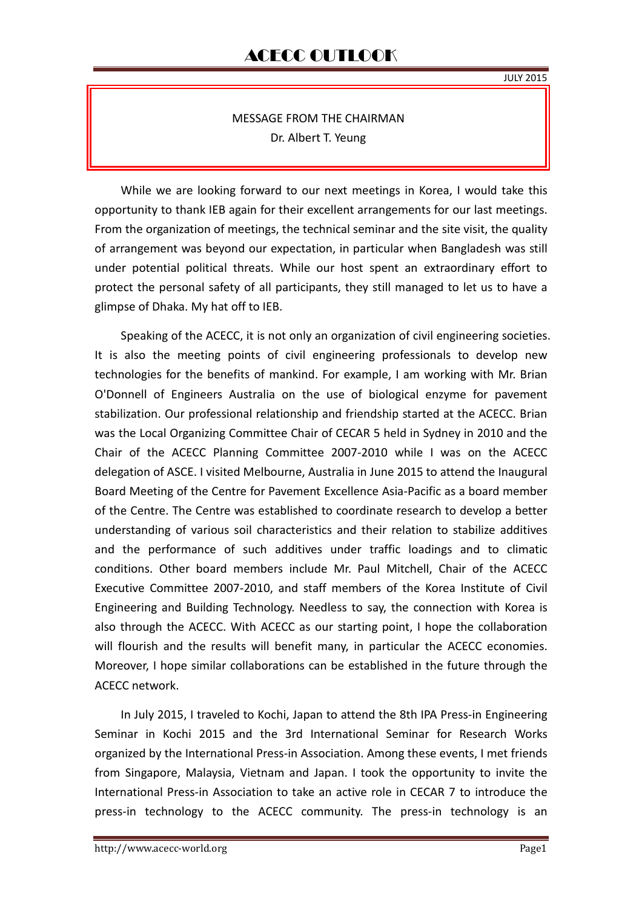### MESSAGE FROM THE CHAIRMAN Dr. Albert T. Yeung

While we are looking forward to our next meetings in Korea, I would take this opportunity to thank IEB again for their excellent arrangements for our last meetings. From the organization of meetings, the technical seminar and the site visit, the quality of arrangement was beyond our expectation, in particular when Bangladesh was still under potential political threats. While our host spent an extraordinary effort to protect the personal safety of all participants, they still managed to let us to have a glimpse of Dhaka. My hat off to IEB.

Speaking of the ACECC, it is not only an organization of civil engineering societies. It is also the meeting points of civil engineering professionals to develop new technologies for the benefits of mankind. For example, I am working with Mr. Brian O'Donnell of Engineers Australia on the use of biological enzyme for pavement stabilization. Our professional relationship and friendship started at the ACECC. Brian was the Local Organizing Committee Chair of CECAR 5 held in Sydney in 2010 and the Chair of the ACECC Planning Committee 2007-2010 while I was on the ACECC delegation of ASCE. I visited Melbourne, Australia in June 2015 to attend the Inaugural Board Meeting of the Centre for Pavement Excellence Asia-Pacific as a board member of the Centre. The Centre was established to coordinate research to develop a better understanding of various soil characteristics and their relation to stabilize additives and the performance of such additives under traffic loadings and to climatic conditions. Other board members include Mr. Paul Mitchell, Chair of the ACECC Executive Committee 2007-2010, and staff members of the Korea Institute of Civil Engineering and Building Technology. Needless to say, the connection with Korea is also through the ACECC. With ACECC as our starting point, I hope the collaboration will flourish and the results will benefit many, in particular the ACECC economies. Moreover, I hope similar collaborations can be established in the future through the ACECC network.

In July 2015, I traveled to Kochi, Japan to attend the 8th IPA Press-in Engineering Seminar in Kochi 2015 and the 3rd International Seminar for Research Works organized by the International Press-in Association. Among these events, I met friends from Singapore, Malaysia, Vietnam and Japan. I took the opportunity to invite the International Press-in Association to take an active role in CECAR 7 to introduce the press-in technology to the ACECC community. The press-in technology is an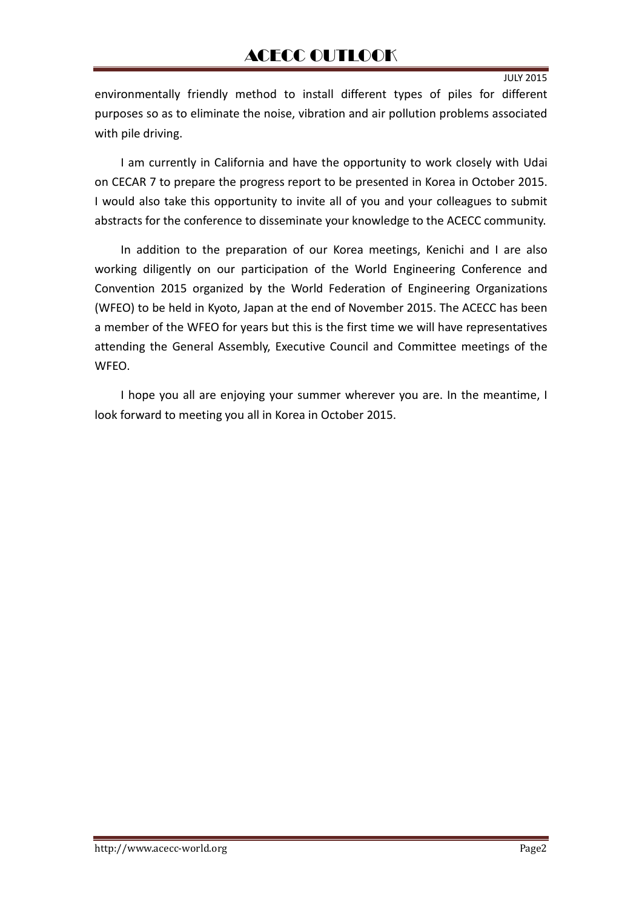JULY 2015

environmentally friendly method to install different types of piles for different purposes so as to eliminate the noise, vibration and air pollution problems associated with pile driving.

I am currently in California and have the opportunity to work closely with Udai on CECAR 7 to prepare the progress report to be presented in Korea in October 2015. I would also take this opportunity to invite all of you and your colleagues to submit abstracts for the conference to disseminate your knowledge to the ACECC community.

In addition to the preparation of our Korea meetings, Kenichi and I are also working diligently on our participation of the World Engineering Conference and Convention 2015 organized by the World Federation of Engineering Organizations (WFEO) to be held in Kyoto, Japan at the end of November 2015. The ACECC has been a member of the WFEO for years but this is the first time we will have representatives attending the General Assembly, Executive Council and Committee meetings of the WFEO.

I hope you all are enjoying your summer wherever you are. In the meantime, I look forward to meeting you all in Korea in October 2015.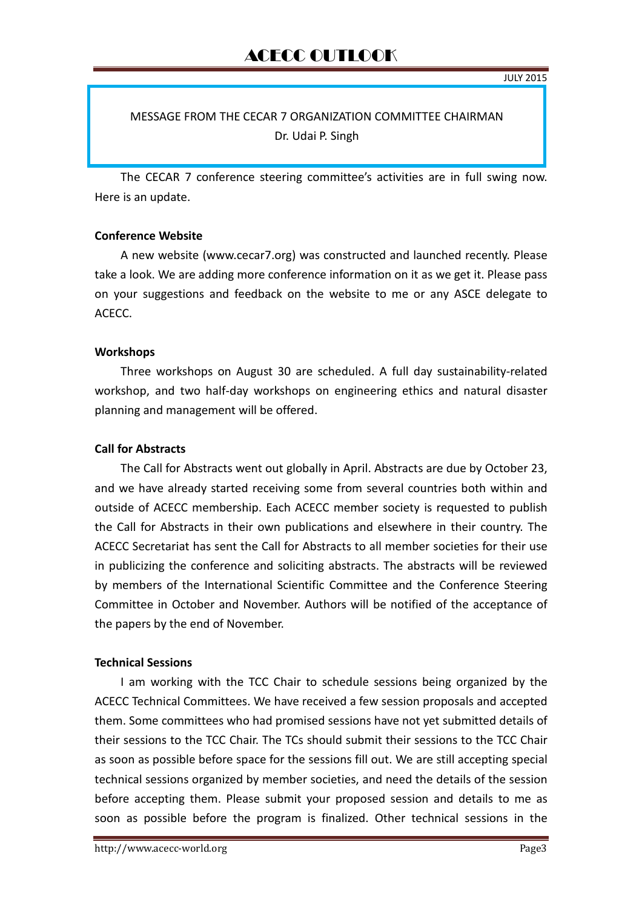#### MESSAGE FROM THE CECAR 7 ORGANIZATION COMMITTEE CHAIRMAN Dr. Udai P. Singh

The CECAR 7 conference steering committee's activities are in full swing now. Here is an update.

#### **Conference Website**

A new website (www.cecar7.org) was constructed and launched recently. Please take a look. We are adding more conference information on it as we get it. Please pass on your suggestions and feedback on the website to me or any ASCE delegate to ACECC.

#### **Workshops**

Three workshops on August 30 are scheduled. A full day sustainability-related workshop, and two half-day workshops on engineering ethics and natural disaster planning and management will be offered.

#### **Call for Abstracts**

The Call for Abstracts went out globally in April. Abstracts are due by October 23, and we have already started receiving some from several countries both within and outside of ACECC membership. Each ACECC member society is requested to publish the Call for Abstracts in their own publications and elsewhere in their country. The ACECC Secretariat has sent the Call for Abstracts to all member societies for their use in publicizing the conference and soliciting abstracts. The abstracts will be reviewed by members of the International Scientific Committee and the Conference Steering Committee in October and November. Authors will be notified of the acceptance of the papers by the end of November.

#### **Technical Sessions**

I am working with the TCC Chair to schedule sessions being organized by the ACECC Technical Committees. We have received a few session proposals and accepted them. Some committees who had promised sessions have not yet submitted details of their sessions to the TCC Chair. The TCs should submit their sessions to the TCC Chair as soon as possible before space for the sessions fill out. We are still accepting special technical sessions organized by member societies, and need the details of the session before accepting them. Please submit your proposed session and details to me as soon as possible before the program is finalized. Other technical sessions in the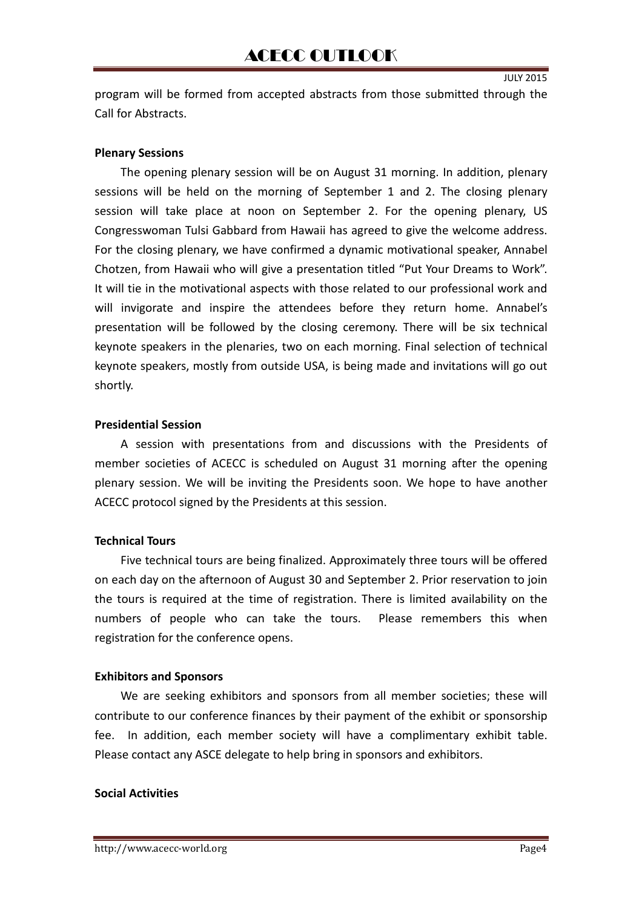program will be formed from accepted abstracts from those submitted through the Call for Abstracts.

#### **Plenary Sessions**

The opening plenary session will be on August 31 morning. In addition, plenary sessions will be held on the morning of September 1 and 2. The closing plenary session will take place at noon on September 2. For the opening plenary, US Congresswoman Tulsi Gabbard from Hawaii has agreed to give the welcome address. For the closing plenary, we have confirmed a dynamic motivational speaker, Annabel Chotzen, from Hawaii who will give a presentation titled "Put Your Dreams to Work". It will tie in the motivational aspects with those related to our professional work and will invigorate and inspire the attendees before they return home. Annabel's presentation will be followed by the closing ceremony. There will be six technical keynote speakers in the plenaries, two on each morning. Final selection of technical keynote speakers, mostly from outside USA, is being made and invitations will go out shortly.

#### **Presidential Session**

A session with presentations from and discussions with the Presidents of member societies of ACECC is scheduled on August 31 morning after the opening plenary session. We will be inviting the Presidents soon. We hope to have another ACECC protocol signed by the Presidents at this session.

#### **Technical Tours**

Five technical tours are being finalized. Approximately three tours will be offered on each day on the afternoon of August 30 and September 2. Prior reservation to join the tours is required at the time of registration. There is limited availability on the numbers of people who can take the tours. Please remembers this when registration for the conference opens.

#### **Exhibitors and Sponsors**

We are seeking exhibitors and sponsors from all member societies; these will contribute to our conference finances by their payment of the exhibit or sponsorship fee. In addition, each member society will have a complimentary exhibit table. Please contact any ASCE delegate to help bring in sponsors and exhibitors.

#### **Social Activities**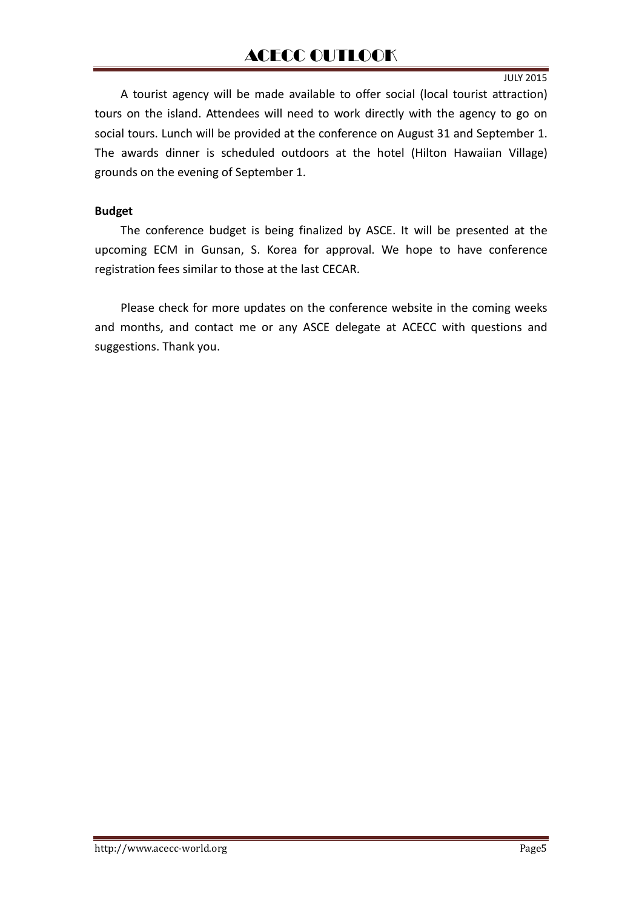JULY 2015

A tourist agency will be made available to offer social (local tourist attraction) tours on the island. Attendees will need to work directly with the agency to go on social tours. Lunch will be provided at the conference on August 31 and September 1. The awards dinner is scheduled outdoors at the hotel (Hilton Hawaiian Village) grounds on the evening of September 1.

#### **Budget**

The conference budget is being finalized by ASCE. It will be presented at the upcoming ECM in Gunsan, S. Korea for approval. We hope to have conference registration fees similar to those at the last CECAR.

Please check for more updates on the conference website in the coming weeks and months, and contact me or any ASCE delegate at ACECC with questions and suggestions. Thank you.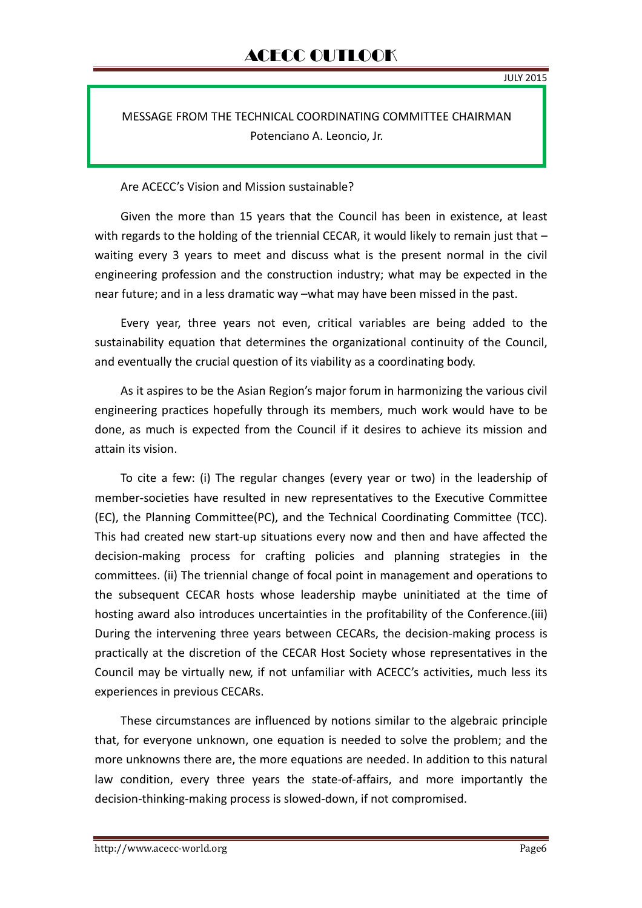MESSAGE FROM THE TECHNICAL COORDINATING COMMITTEE CHAIRMAN Potenciano A. Leoncio, Jr.

Are ACECC's Vision and Mission sustainable?

Given the more than 15 years that the Council has been in existence, at least with regards to the holding of the triennial CECAR, it would likely to remain just that  $$ waiting every 3 years to meet and discuss what is the present normal in the civil engineering profession and the construction industry; what may be expected in the near future; and in a less dramatic way –what may have been missed in the past.

Every year, three years not even, critical variables are being added to the sustainability equation that determines the organizational continuity of the Council, and eventually the crucial question of its viability as a coordinating body.

As it aspires to be the Asian Region's major forum in harmonizing the various civil engineering practices hopefully through its members, much work would have to be done, as much is expected from the Council if it desires to achieve its mission and attain its vision.

To cite a few: (i) The regular changes (every year or two) in the leadership of member-societies have resulted in new representatives to the Executive Committee (EC), the Planning Committee(PC), and the Technical Coordinating Committee (TCC). This had created new start-up situations every now and then and have affected the decision-making process for crafting policies and planning strategies in the committees. (ii) The triennial change of focal point in management and operations to the subsequent CECAR hosts whose leadership maybe uninitiated at the time of hosting award also introduces uncertainties in the profitability of the Conference.(iii) During the intervening three years between CECARs, the decision-making process is practically at the discretion of the CECAR Host Society whose representatives in the Council may be virtually new, if not unfamiliar with ACECC's activities, much less its experiences in previous CECARs.

These circumstances are influenced by notions similar to the algebraic principle that, for everyone unknown, one equation is needed to solve the problem; and the more unknowns there are, the more equations are needed. In addition to this natural law condition, every three years the state-of-affairs, and more importantly the decision-thinking-making process is slowed-down, if not compromised.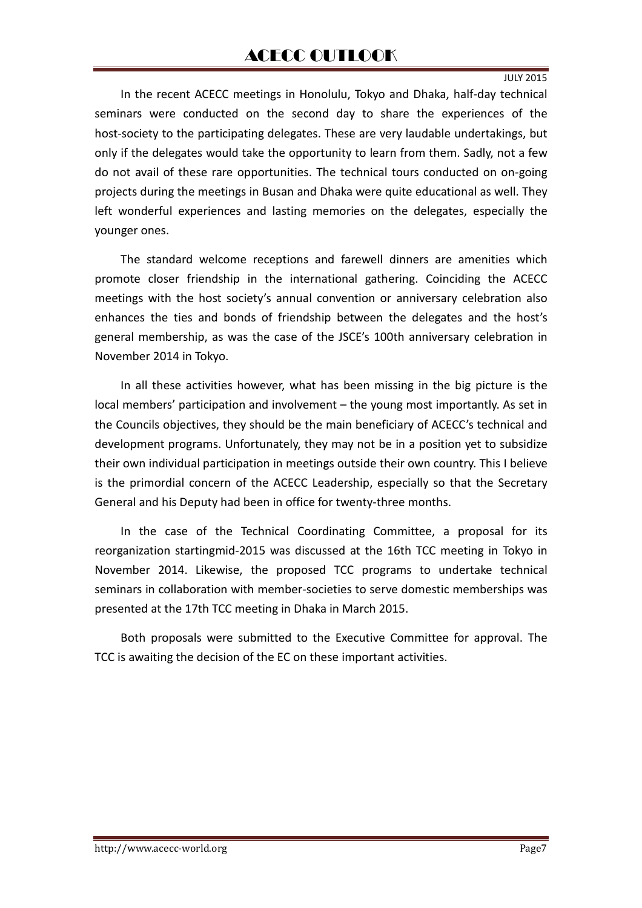JULY 2015

In the recent ACECC meetings in Honolulu, Tokyo and Dhaka, half-day technical seminars were conducted on the second day to share the experiences of the host-society to the participating delegates. These are very laudable undertakings, but only if the delegates would take the opportunity to learn from them. Sadly, not a few do not avail of these rare opportunities. The technical tours conducted on on-going projects during the meetings in Busan and Dhaka were quite educational as well. They left wonderful experiences and lasting memories on the delegates, especially the younger ones.

The standard welcome receptions and farewell dinners are amenities which promote closer friendship in the international gathering. Coinciding the ACECC meetings with the host society's annual convention or anniversary celebration also enhances the ties and bonds of friendship between the delegates and the host's general membership, as was the case of the JSCE's 100th anniversary celebration in November 2014 in Tokyo.

In all these activities however, what has been missing in the big picture is the local members' participation and involvement – the young most importantly. As set in the Councils objectives, they should be the main beneficiary of ACECC's technical and development programs. Unfortunately, they may not be in a position yet to subsidize their own individual participation in meetings outside their own country. This I believe is the primordial concern of the ACECC Leadership, especially so that the Secretary General and his Deputy had been in office for twenty-three months.

In the case of the Technical Coordinating Committee, a proposal for its reorganization startingmid-2015 was discussed at the 16th TCC meeting in Tokyo in November 2014. Likewise, the proposed TCC programs to undertake technical seminars in collaboration with member-societies to serve domestic memberships was presented at the 17th TCC meeting in Dhaka in March 2015.

Both proposals were submitted to the Executive Committee for approval. The TCC is awaiting the decision of the EC on these important activities.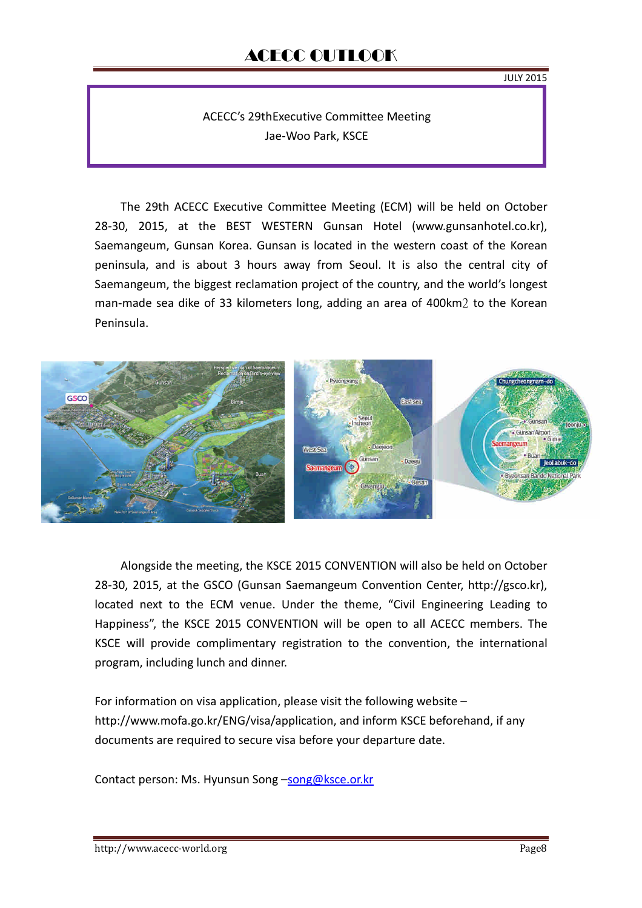JULY 2015

ACECC's 29thExecutive Committee Meeting Jae-Woo Park, KSCE

The 29th ACECC Executive Committee Meeting (ECM) will be held on October 28-30, 2015, at the BEST WESTERN Gunsan Hotel (www.gunsanhotel.co.kr), Saemangeum, Gunsan Korea. Gunsan is located in the western coast of the Korean peninsula, and is about 3 hours away from Seoul. It is also the central city of Saemangeum, the biggest reclamation project of the country, and the world's longest man-made sea dike of 33 kilometers long, adding an area of 400km2 to the Korean Peninsula.



Alongside the meeting, the KSCE 2015 CONVENTION will also be held on October 28-30, 2015, at the GSCO (Gunsan Saemangeum Convention Center, http://gsco.kr), located next to the ECM venue. Under the theme, "Civil Engineering Leading to Happiness", the KSCE 2015 CONVENTION will be open to all ACECC members. The KSCE will provide complimentary registration to the convention, the international program, including lunch and dinner.

For information on visa application, please visit the following website – http://www.mofa.go.kr/ENG/visa/application, and inform KSCE beforehand, if any documents are required to secure visa before your departure date.

Contact person: Ms. Hyunsun Song –song@ksce.or.kr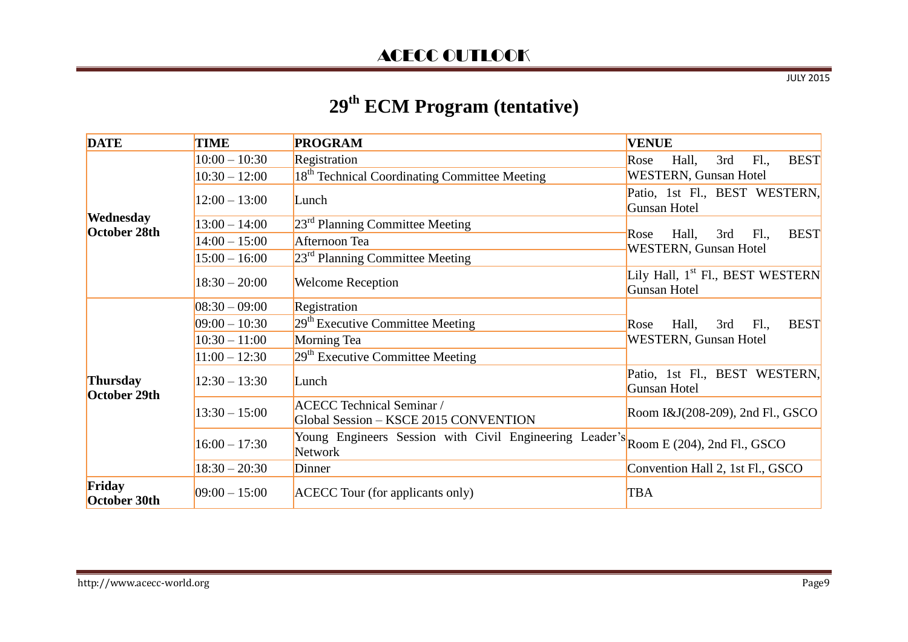JULY 2015

# **29th ECM Program (tentative)**

| <b>DATE</b>               | <b>TIME</b>     | <b>PROGRAM</b>                                                                                 | <b>VENUE</b>                                                                |
|---------------------------|-----------------|------------------------------------------------------------------------------------------------|-----------------------------------------------------------------------------|
| Wednesday<br>October 28th | $10:00 - 10:30$ | Registration                                                                                   | <b>BEST</b><br>3rd<br>F1.,<br>Hall,<br>Rose                                 |
|                           | $10:30 - 12:00$ | 18 <sup>th</sup> Technical Coordinating Committee Meeting                                      | <b>WESTERN, Gunsan Hotel</b>                                                |
|                           | $12:00 - 13:00$ | Lunch                                                                                          | Patio, 1st Fl., BEST WESTERN,<br><b>Gunsan Hotel</b>                        |
|                           | $13:00 - 14:00$ | $23rd$ Planning Committee Meeting                                                              |                                                                             |
|                           | $14:00 - 15:00$ | Afternoon Tea                                                                                  | <b>BEST</b><br>Hall,<br>3rd<br>F1.,<br>Rose<br><b>WESTERN, Gunsan Hotel</b> |
|                           | $15:00 - 16:00$ | $23rd$ Planning Committee Meeting                                                              |                                                                             |
|                           | $18:30 - 20:00$ | <b>Welcome Reception</b>                                                                       | Lily Hall, 1 <sup>st</sup> Fl., BEST WESTERN<br><b>Gunsan Hotel</b>         |
| Thursday<br>October 29th  | $08:30 - 09:00$ | Registration                                                                                   | <b>BEST</b><br>Hall,<br>F1.,<br>3rd<br>Rose                                 |
|                           | $09:00 - 10:30$ | $29th$ Executive Committee Meeting                                                             |                                                                             |
|                           | $10:30 - 11:00$ | Morning Tea                                                                                    | <b>WESTERN, Gunsan Hotel</b>                                                |
|                           | $11:00 - 12:30$ | $29th$ Executive Committee Meeting                                                             |                                                                             |
|                           | $12:30 - 13:30$ | Lunch                                                                                          | Patio, 1st Fl., BEST WESTERN,<br><b>Gunsan Hotel</b>                        |
|                           | $13:30 - 15:00$ | <b>ACECC Technical Seminar /</b><br>Global Session - KSCE 2015 CONVENTION                      | Room I&J(208-209), 2nd Fl., GSCO                                            |
|                           | $16:00 - 17:30$ | Young Engineers Session with Civil Engineering Leader's Room E (204), 2nd Fl., GSCO<br>Network |                                                                             |
|                           | $18:30 - 20:30$ | Dinner                                                                                         | Convention Hall 2, 1st Fl., GSCO                                            |
| Friday<br>October 30th    | $09:00 - 15:00$ | <b>ACECC</b> Tour (for applicants only)                                                        | <b>TBA</b>                                                                  |